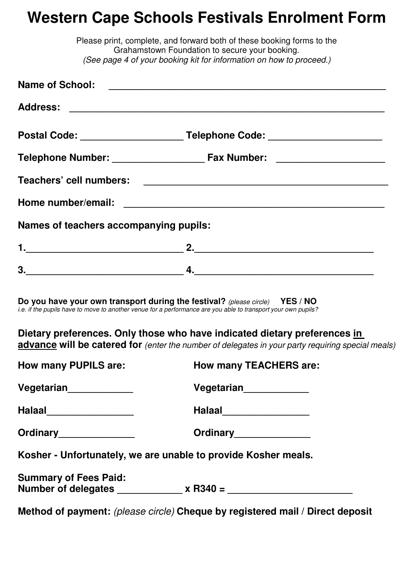## **Western Cape Schools Festivals Enrolment Form**

|                                        | Please print, complete, and forward both of these booking forms to the<br>Grahamstown Foundation to secure your booking.                                                                      |
|----------------------------------------|-----------------------------------------------------------------------------------------------------------------------------------------------------------------------------------------------|
|                                        | (See page 4 of your booking kit for information on how to proceed.)                                                                                                                           |
|                                        |                                                                                                                                                                                               |
|                                        |                                                                                                                                                                                               |
|                                        | Postal Code: ____________________________Telephone Code: _______________________                                                                                                              |
|                                        |                                                                                                                                                                                               |
|                                        |                                                                                                                                                                                               |
|                                        |                                                                                                                                                                                               |
| Names of teachers accompanying pupils: |                                                                                                                                                                                               |
|                                        |                                                                                                                                                                                               |
|                                        |                                                                                                                                                                                               |
|                                        | Do you have your own transport during the festival? (please circle) YES / NO<br>i.e. if the pupils have to move to another venue for a performance are you able to transport your own pupils? |
|                                        | Dietary preferences. Only those who have indicated dietary preferences in<br>advance will be catered for (enter the number of delegates in your party requiring special meals)                |
| <b>How many PUPILS are:</b>            | <b>How many TEACHERS are:</b>                                                                                                                                                                 |
| Vegetarian <sub>______________</sub>   | Vegetarian <sub>______________</sub>                                                                                                                                                          |
| Halaal___________________              | Halaal_____________________                                                                                                                                                                   |
| Ordinary________________               | Ordinary_______________                                                                                                                                                                       |
|                                        | Kosher - Unfortunately, we are unable to provide Kosher meals.                                                                                                                                |
| <b>Summary of Fees Paid:</b>           |                                                                                                                                                                                               |
|                                        | Method of payment: (please circle) Cheque by registered mail / Direct deposit                                                                                                                 |